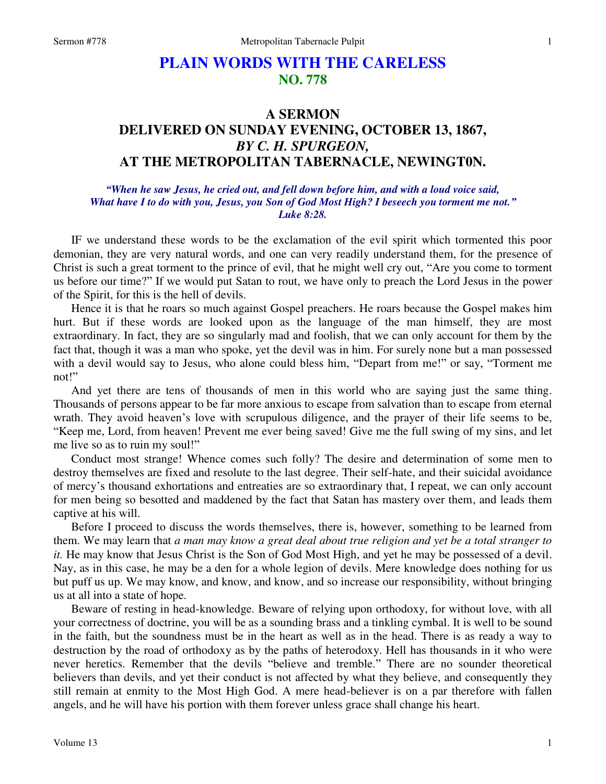# **PLAIN WORDS WITH THE CARELESS NO. 778**

## **A SERMON DELIVERED ON SUNDAY EVENING, OCTOBER 13, 1867,**  *BY C. H. SPURGEON,*  **AT THE METROPOLITAN TABERNACLE, NEWINGT0N.**

*"When he saw Jesus, he cried out, and fell down before him, and with a loud voice said, What have I to do with you, Jesus, you Son of God Most High? I beseech you torment me not." Luke 8:28.* 

IF we understand these words to be the exclamation of the evil spirit which tormented this poor demonian, they are very natural words, and one can very readily understand them, for the presence of Christ is such a great torment to the prince of evil, that he might well cry out, "Are you come to torment us before our time?" If we would put Satan to rout, we have only to preach the Lord Jesus in the power of the Spirit, for this is the hell of devils.

 Hence it is that he roars so much against Gospel preachers. He roars because the Gospel makes him hurt. But if these words are looked upon as the language of the man himself, they are most extraordinary. In fact, they are so singularly mad and foolish, that we can only account for them by the fact that, though it was a man who spoke, yet the devil was in him. For surely none but a man possessed with a devil would say to Jesus, who alone could bless him, "Depart from me!" or say, "Torment me not!"

 And yet there are tens of thousands of men in this world who are saying just the same thing. Thousands of persons appear to be far more anxious to escape from salvation than to escape from eternal wrath. They avoid heaven's love with scrupulous diligence, and the prayer of their life seems to be, "Keep me, Lord, from heaven! Prevent me ever being saved! Give me the full swing of my sins, and let me live so as to ruin my soul!"

Conduct most strange! Whence comes such folly? The desire and determination of some men to destroy themselves are fixed and resolute to the last degree. Their self-hate, and their suicidal avoidance of mercy's thousand exhortations and entreaties are so extraordinary that, I repeat, we can only account for men being so besotted and maddened by the fact that Satan has mastery over them, and leads them captive at his will.

 Before I proceed to discuss the words themselves, there is, however, something to be learned from them. We may learn that *a man may know a great deal about true religion and yet be a total stranger to it.* He may know that Jesus Christ is the Son of God Most High, and yet he may be possessed of a devil. Nay, as in this case, he may be a den for a whole legion of devils. Mere knowledge does nothing for us but puff us up. We may know, and know, and know, and so increase our responsibility, without bringing us at all into a state of hope.

 Beware of resting in head-knowledge. Beware of relying upon orthodoxy, for without love, with all your correctness of doctrine, you will be as a sounding brass and a tinkling cymbal. It is well to be sound in the faith, but the soundness must be in the heart as well as in the head. There is as ready a way to destruction by the road of orthodoxy as by the paths of heterodoxy. Hell has thousands in it who were never heretics. Remember that the devils "believe and tremble." There are no sounder theoretical believers than devils, and yet their conduct is not affected by what they believe, and consequently they still remain at enmity to the Most High God. A mere head-believer is on a par therefore with fallen angels, and he will have his portion with them forever unless grace shall change his heart.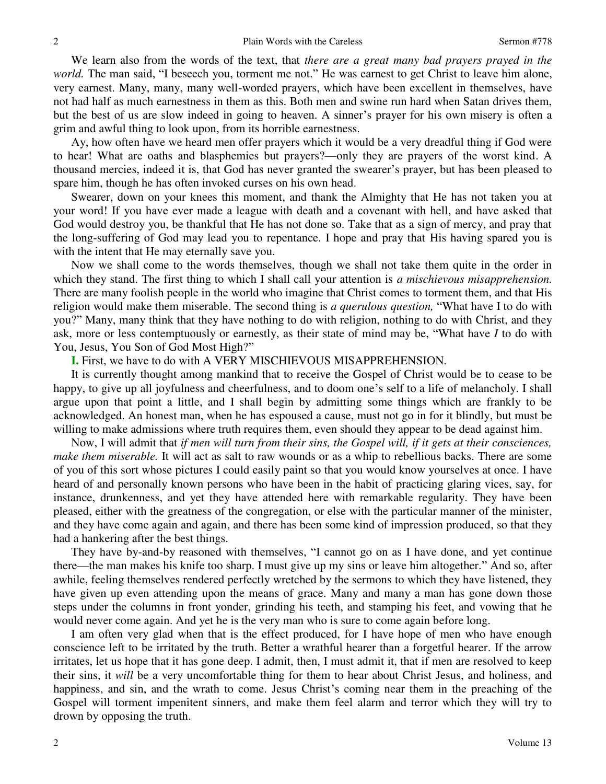We learn also from the words of the text, that *there are a great many bad prayers prayed in the world*. The man said, "I beseech you, torment me not." He was earnest to get Christ to leave him alone, very earnest. Many, many, many well-worded prayers, which have been excellent in themselves, have not had half as much earnestness in them as this. Both men and swine run hard when Satan drives them, but the best of us are slow indeed in going to heaven. A sinner's prayer for his own misery is often a grim and awful thing to look upon, from its horrible earnestness.

Ay, how often have we heard men offer prayers which it would be a very dreadful thing if God were to hear! What are oaths and blasphemies but prayers?—only they are prayers of the worst kind. A thousand mercies, indeed it is, that God has never granted the swearer's prayer, but has been pleased to spare him, though he has often invoked curses on his own head.

 Swearer, down on your knees this moment, and thank the Almighty that He has not taken you at your word! If you have ever made a league with death and a covenant with hell, and have asked that God would destroy you, be thankful that He has not done so. Take that as a sign of mercy, and pray that the long-suffering of God may lead you to repentance. I hope and pray that His having spared you is with the intent that He may eternally save you.

 Now we shall come to the words themselves, though we shall not take them quite in the order in which they stand. The first thing to which I shall call your attention is *a mischievous misapprehension*. There are many foolish people in the world who imagine that Christ comes to torment them, and that His religion would make them miserable. The second thing is *a querulous question,* "What have I to do with you?" Many, many think that they have nothing to do with religion, nothing to do with Christ, and they ask, more or less contemptuously or earnestly, as their state of mind may be, "What have *I* to do with You, Jesus, You Son of God Most High?"

### **I.** First, we have to do with A VERY MISCHIEVOUS MISAPPREHENSION.

 It is currently thought among mankind that to receive the Gospel of Christ would be to cease to be happy, to give up all joyfulness and cheerfulness, and to doom one's self to a life of melancholy. I shall argue upon that point a little, and I shall begin by admitting some things which are frankly to be acknowledged. An honest man, when he has espoused a cause, must not go in for it blindly, but must be willing to make admissions where truth requires them, even should they appear to be dead against him.

 Now, I will admit that *if men will turn from their sins, the Gospel will, if it gets at their consciences, make them miserable.* It will act as salt to raw wounds or as a whip to rebellious backs. There are some of you of this sort whose pictures I could easily paint so that you would know yourselves at once. I have heard of and personally known persons who have been in the habit of practicing glaring vices, say, for instance, drunkenness, and yet they have attended here with remarkable regularity. They have been pleased, either with the greatness of the congregation, or else with the particular manner of the minister, and they have come again and again, and there has been some kind of impression produced, so that they had a hankering after the best things.

 They have by-and-by reasoned with themselves, "I cannot go on as I have done, and yet continue there—the man makes his knife too sharp. I must give up my sins or leave him altogether." And so, after awhile, feeling themselves rendered perfectly wretched by the sermons to which they have listened, they have given up even attending upon the means of grace. Many and many a man has gone down those steps under the columns in front yonder, grinding his teeth, and stamping his feet, and vowing that he would never come again. And yet he is the very man who is sure to come again before long.

 I am often very glad when that is the effect produced, for I have hope of men who have enough conscience left to be irritated by the truth. Better a wrathful hearer than a forgetful hearer. If the arrow irritates, let us hope that it has gone deep. I admit, then, I must admit it, that if men are resolved to keep their sins, it *will* be a very uncomfortable thing for them to hear about Christ Jesus, and holiness, and happiness, and sin, and the wrath to come. Jesus Christ's coming near them in the preaching of the Gospel will torment impenitent sinners, and make them feel alarm and terror which they will try to drown by opposing the truth.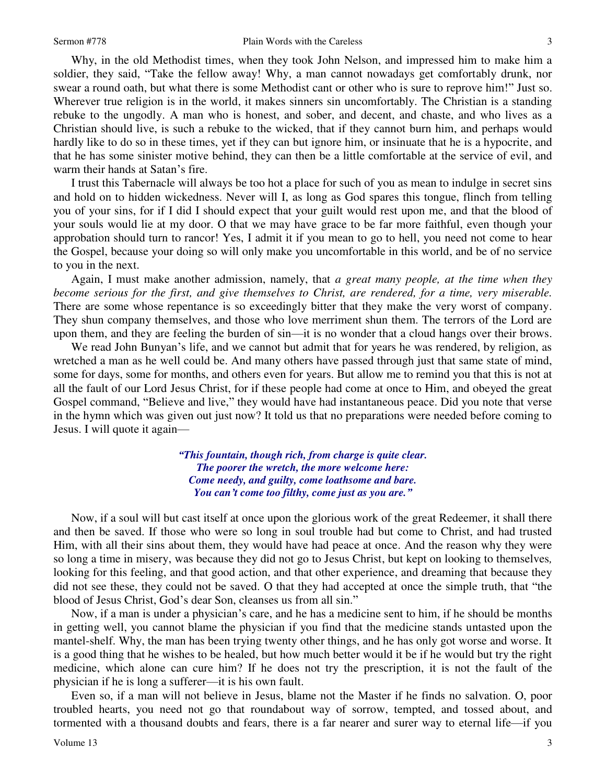Why, in the old Methodist times, when they took John Nelson, and impressed him to make him a soldier, they said, "Take the fellow away! Why, a man cannot nowadays get comfortably drunk, nor swear a round oath, but what there is some Methodist cant or other who is sure to reprove him!" Just so. Wherever true religion is in the world, it makes sinners sin uncomfortably. The Christian is a standing rebuke to the ungodly. A man who is honest, and sober, and decent, and chaste, and who lives as a Christian should live, is such a rebuke to the wicked, that if they cannot burn him, and perhaps would hardly like to do so in these times, yet if they can but ignore him, or insinuate that he is a hypocrite, and that he has some sinister motive behind, they can then be a little comfortable at the service of evil, and warm their hands at Satan's fire.

 I trust this Tabernacle will always be too hot a place for such of you as mean to indulge in secret sins and hold on to hidden wickedness. Never will I, as long as God spares this tongue, flinch from telling you of your sins, for if I did I should expect that your guilt would rest upon me, and that the blood of your souls would lie at my door. O that we may have grace to be far more faithful, even though your approbation should turn to rancor! Yes, I admit it if you mean to go to hell, you need not come to hear the Gospel, because your doing so will only make you uncomfortable in this world, and be of no service to you in the next.

 Again, I must make another admission, namely, that *a great many people, at the time when they become serious for the first, and give themselves to Christ, are rendered, for a time, very miserable.* There are some whose repentance is so exceedingly bitter that they make the very worst of company. They shun company themselves, and those who love merriment shun them. The terrors of the Lord are upon them, and they are feeling the burden of sin—it is no wonder that a cloud hangs over their brows.

 We read John Bunyan's life, and we cannot but admit that for years he was rendered, by religion, as wretched a man as he well could be. And many others have passed through just that same state of mind, some for days, some for months, and others even for years. But allow me to remind you that this is not at all the fault of our Lord Jesus Christ, for if these people had come at once to Him, and obeyed the great Gospel command, "Believe and live," they would have had instantaneous peace. Did you note that verse in the hymn which was given out just now? It told us that no preparations were needed before coming to Jesus. I will quote it again—

> *"This fountain, though rich, from charge is quite clear. The poorer the wretch, the more welcome here: Come needy, and guilty, come loathsome and bare. You can't come too filthy, come just as you are."*

 Now, if a soul will but cast itself at once upon the glorious work of the great Redeemer, it shall there and then be saved. If those who were so long in soul trouble had but come to Christ, and had trusted Him, with all their sins about them, they would have had peace at once. And the reason why they were so long a time in misery, was because they did not go to Jesus Christ, but kept on looking to themselves*,*  looking for this feeling, and that good action, and that other experience, and dreaming that because they did not see these, they could not be saved. O that they had accepted at once the simple truth, that "the blood of Jesus Christ, God's dear Son, cleanses us from all sin."

 Now, if a man is under a physician's care, and he has a medicine sent to him, if he should be months in getting well, you cannot blame the physician if you find that the medicine stands untasted upon the mantel-shelf. Why, the man has been trying twenty other things, and he has only got worse and worse. It is a good thing that he wishes to be healed, but how much better would it be if he would but try the right medicine, which alone can cure him? If he does not try the prescription, it is not the fault of the physician if he is long a sufferer—it is his own fault.

 Even so, if a man will not believe in Jesus, blame not the Master if he finds no salvation. O, poor troubled hearts, you need not go that roundabout way of sorrow, tempted, and tossed about, and tormented with a thousand doubts and fears, there is a far nearer and surer way to eternal life—if you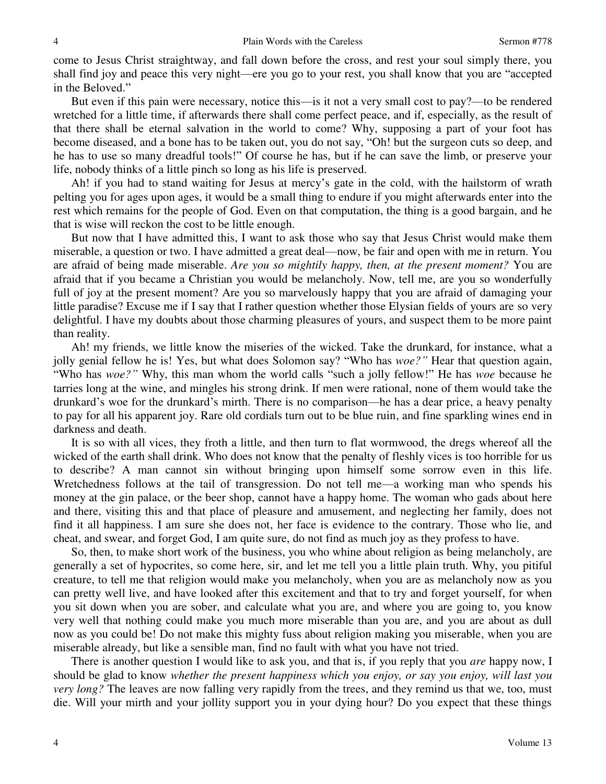come to Jesus Christ straightway, and fall down before the cross, and rest your soul simply there, you shall find joy and peace this very night—ere you go to your rest, you shall know that you are "accepted in the Beloved."

 But even if this pain were necessary, notice this—is it not a very small cost to pay?—to be rendered wretched for a little time, if afterwards there shall come perfect peace, and if, especially, as the result of that there shall be eternal salvation in the world to come? Why, supposing a part of your foot has become diseased, and a bone has to be taken out, you do not say, "Oh! but the surgeon cuts so deep, and he has to use so many dreadful tools!" Of course he has, but if he can save the limb, or preserve your life, nobody thinks of a little pinch so long as his life is preserved.

 Ah! if you had to stand waiting for Jesus at mercy's gate in the cold, with the hailstorm of wrath pelting you for ages upon ages, it would be a small thing to endure if you might afterwards enter into the rest which remains for the people of God. Even on that computation, the thing is a good bargain, and he that is wise will reckon the cost to be little enough.

 But now that I have admitted this, I want to ask those who say that Jesus Christ would make them miserable, a question or two. I have admitted a great deal—now, be fair and open with me in return. You are afraid of being made miserable. *Are you so mightily happy, then, at the present moment?* You are afraid that if you became a Christian you would be melancholy. Now, tell me, are you so wonderfully full of joy at the present moment? Are you so marvelously happy that you are afraid of damaging your little paradise? Excuse me if I say that I rather question whether those Elysian fields of yours are so very delightful. I have my doubts about those charming pleasures of yours, and suspect them to be more paint than reality.

 Ah! my friends, we little know the miseries of the wicked. Take the drunkard, for instance, what a jolly genial fellow he is! Yes, but what does Solomon say? "Who has *woe?"* Hear that question again, "Who has *woe?"* Why, this man whom the world calls "such a jolly fellow!" He has *woe* because he tarries long at the wine, and mingles his strong drink. If men were rational, none of them would take the drunkard's woe for the drunkard's mirth. There is no comparison—he has a dear price, a heavy penalty to pay for all his apparent joy. Rare old cordials turn out to be blue ruin, and fine sparkling wines end in darkness and death.

 It is so with all vices, they froth a little, and then turn to flat wormwood, the dregs whereof all the wicked of the earth shall drink. Who does not know that the penalty of fleshly vices is too horrible for us to describe? A man cannot sin without bringing upon himself some sorrow even in this life. Wretchedness follows at the tail of transgression. Do not tell me—a working man who spends his money at the gin palace, or the beer shop, cannot have a happy home. The woman who gads about here and there, visiting this and that place of pleasure and amusement, and neglecting her family, does not find it all happiness. I am sure she does not, her face is evidence to the contrary. Those who lie, and cheat, and swear, and forget God, I am quite sure, do not find as much joy as they profess to have.

 So, then, to make short work of the business, you who whine about religion as being melancholy, are generally a set of hypocrites, so come here, sir, and let me tell you a little plain truth. Why, you pitiful creature, to tell me that religion would make you melancholy, when you are as melancholy now as you can pretty well live, and have looked after this excitement and that to try and forget yourself, for when you sit down when you are sober, and calculate what you are, and where you are going to, you know very well that nothing could make you much more miserable than you are, and you are about as dull now as you could be! Do not make this mighty fuss about religion making you miserable, when you are miserable already, but like a sensible man, find no fault with what you have not tried.

 There is another question I would like to ask you, and that is, if you reply that you *are* happy now, I should be glad to know *whether the present happiness which you enjoy, or say you enjoy, will last you very long?* The leaves are now falling very rapidly from the trees, and they remind us that we, too, must die. Will your mirth and your jollity support you in your dying hour? Do you expect that these things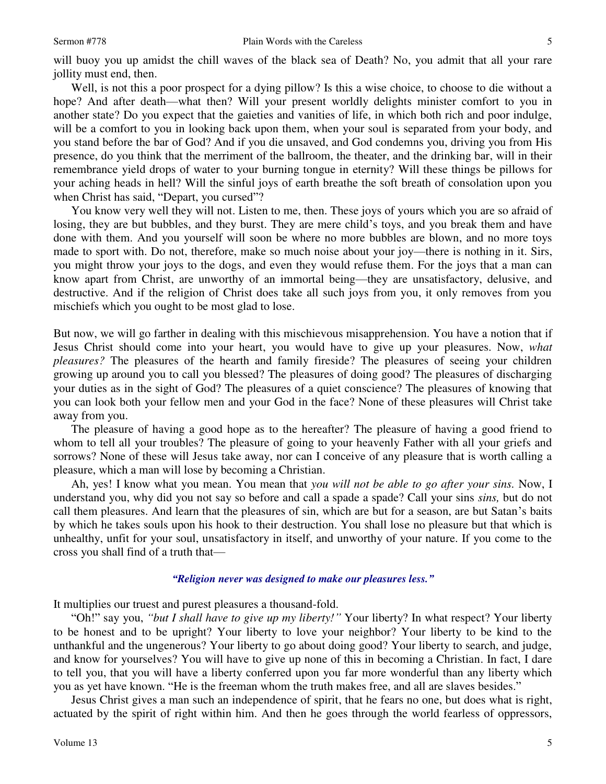will buoy you up amidst the chill waves of the black sea of Death? No, you admit that all your rare jollity must end, then.

 Well, is not this a poor prospect for a dying pillow? Is this a wise choice, to choose to die without a hope? And after death—what then? Will your present worldly delights minister comfort to you in another state? Do you expect that the gaieties and vanities of life, in which both rich and poor indulge, will be a comfort to you in looking back upon them, when your soul is separated from your body, and you stand before the bar of God? And if you die unsaved, and God condemns you, driving you from His presence, do you think that the merriment of the ballroom, the theater, and the drinking bar, will in their remembrance yield drops of water to your burning tongue in eternity? Will these things be pillows for your aching heads in hell? Will the sinful joys of earth breathe the soft breath of consolation upon you when Christ has said, "Depart, you cursed"?

 You know very well they will not. Listen to me, then. These joys of yours which you are so afraid of losing, they are but bubbles, and they burst. They are mere child's toys, and you break them and have done with them. And you yourself will soon be where no more bubbles are blown, and no more toys made to sport with. Do not, therefore, make so much noise about your joy—there is nothing in it. Sirs, you might throw your joys to the dogs, and even they would refuse them. For the joys that a man can know apart from Christ, are unworthy of an immortal being—they are unsatisfactory, delusive, and destructive. And if the religion of Christ does take all such joys from you, it only removes from you mischiefs which you ought to be most glad to lose.

But now, we will go farther in dealing with this mischievous misapprehension. You have a notion that if Jesus Christ should come into your heart, you would have to give up your pleasures. Now, *what pleasures?* The pleasures of the hearth and family fireside? The pleasures of seeing your children growing up around you to call you blessed? The pleasures of doing good? The pleasures of discharging your duties as in the sight of God? The pleasures of a quiet conscience? The pleasures of knowing that you can look both your fellow men and your God in the face? None of these pleasures will Christ take away from you.

 The pleasure of having a good hope as to the hereafter? The pleasure of having a good friend to whom to tell all your troubles? The pleasure of going to your heavenly Father with all your griefs and sorrows? None of these will Jesus take away, nor can I conceive of any pleasure that is worth calling a pleasure, which a man will lose by becoming a Christian.

Ah, yes! I know what you mean. You mean that *you will not be able to go after your sins.* Now, I understand you, why did you not say so before and call a spade a spade? Call your sins *sins,* but do not call them pleasures. And learn that the pleasures of sin, which are but for a season, are but Satan's baits by which he takes souls upon his hook to their destruction. You shall lose no pleasure but that which is unhealthy, unfit for your soul, unsatisfactory in itself, and unworthy of your nature. If you come to the cross you shall find of a truth that—

#### *"Religion never was designed to make our pleasures less."*

It multiplies our truest and purest pleasures a thousand-fold.

"Oh!" say you, *"but I shall have to give up my liberty!"* Your liberty? In what respect? Your liberty to be honest and to be upright? Your liberty to love your neighbor? Your liberty to be kind to the unthankful and the ungenerous? Your liberty to go about doing good? Your liberty to search, and judge, and know for yourselves? You will have to give up none of this in becoming a Christian. In fact, I dare to tell you, that you will have a liberty conferred upon you far more wonderful than any liberty which you as yet have known. "He is the freeman whom the truth makes free, and all are slaves besides."

 Jesus Christ gives a man such an independence of spirit, that he fears no one, but does what is right, actuated by the spirit of right within him. And then he goes through the world fearless of oppressors,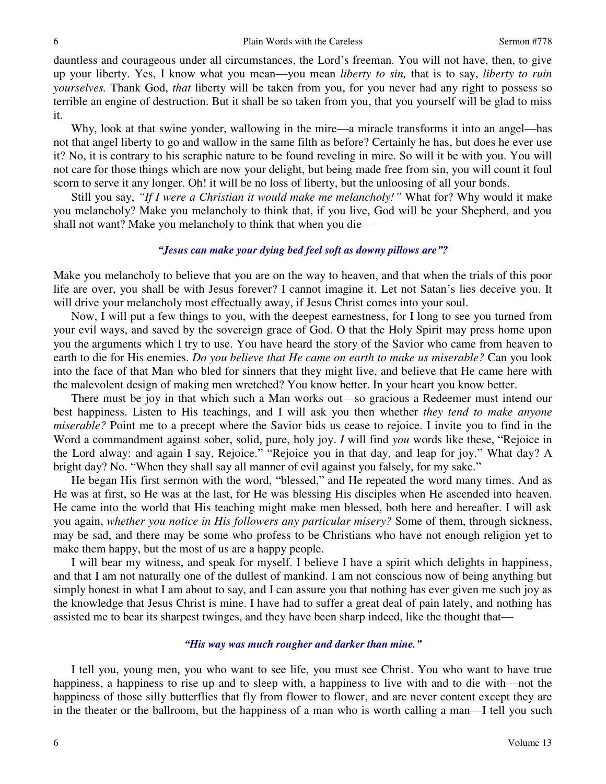dauntless and courageous under all circumstances, the Lord's freeman. You will not have, then, to give up your liberty. Yes, I know what you mean—you mean *liberty to sin,* that is to say, *liberty to ruin yourselves.* Thank God, *that* liberty will be taken from you, for you never had any right to possess so terrible an engine of destruction. But it shall be so taken from you, that you yourself will be glad to miss it.

 Why, look at that swine yonder, wallowing in the mire—a miracle transforms it into an angel—has not that angel liberty to go and wallow in the same filth as before? Certainly he has, but does he ever use it? No, it is contrary to his seraphic nature to be found reveling in mire. So will it be with you. You will not care for those things which are now your delight, but being made free from sin, you will count it foul scorn to serve it any longer. Oh! it will be no loss of liberty, but the unloosing of all your bonds.

 Still you say, *"If I were a Christian it would make me melancholy!"* What for? Why would it make you melancholy? Make you melancholy to think that, if you live, God will be your Shepherd, and you shall not want? Make you melancholy to think that when you die—

## *"Jesus can make your dying bed feel soft as downy pillows are"?*

Make you melancholy to believe that you are on the way to heaven, and that when the trials of this poor life are over, you shall be with Jesus forever? I cannot imagine it. Let not Satan's lies deceive you. It will drive your melancholy most effectually away, if Jesus Christ comes into your soul.

 Now, I will put a few things to you, with the deepest earnestness, for I long to see you turned from your evil ways, and saved by the sovereign grace of God. O that the Holy Spirit may press home upon you the arguments which I try to use. You have heard the story of the Savior who came from heaven to earth to die for His enemies. *Do you believe that He came on earth to make us miserable?* Can you look into the face of that Man who bled for sinners that they might live, and believe that He came here with the malevolent design of making men wretched? You know better. In your heart you know better.

 There must be joy in that which such a Man works out—so gracious a Redeemer must intend our best happiness. Listen to His teachings, and I will ask you then whether *they tend to make anyone miserable?* Point me to a precept where the Savior bids us cease to rejoice. I invite you to find in the Word a commandment against sober, solid, pure, holy joy. *I* will find *you* words like these, "Rejoice in the Lord alway: and again I say, Rejoice." "Rejoice you in that day, and leap for joy." What day? A bright day? No. "When they shall say all manner of evil against you falsely, for my sake."

 He began His first sermon with the word, "blessed," and He repeated the word many times. And as He was at first, so He was at the last, for He was blessing His disciples when He ascended into heaven. He came into the world that His teaching might make men blessed, both here and hereafter. I will ask you again, *whether you notice in His followers any particular misery?* Some of them, through sickness, may be sad, and there may be some who profess to be Christians who have not enough religion yet to make them happy, but the most of us are a happy people.

 I will bear my witness, and speak for myself. I believe I have a spirit which delights in happiness, and that I am not naturally one of the dullest of mankind. I am not conscious now of being anything but simply honest in what I am about to say, and I can assure you that nothing has ever given me such joy as the knowledge that Jesus Christ is mine. I have had to suffer a great deal of pain lately, and nothing has assisted me to bear its sharpest twinges, and they have been sharp indeed, like the thought that—

## *"His way was much rougher and darker than mine."*

I tell you, young men, you who want to see life, you must see Christ. You who want to have true happiness, a happiness to rise up and to sleep with, a happiness to live with and to die with—not the happiness of those silly butterflies that fly from flower to flower, and are never content except they are in the theater or the ballroom, but the happiness of a man who is worth calling a man—I tell you such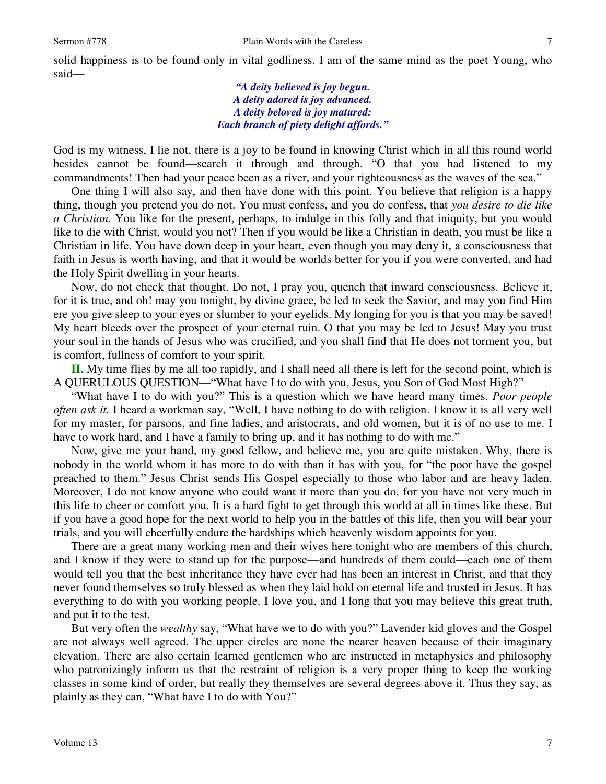said—

*"A deity believed is joy begun. A deity adored is joy advanced. A deity beloved is joy matured: Each branch of piety delight affords."*

God is my witness, I lie not, there is a joy to be found in knowing Christ which in all this round world besides cannot be found—search it through and through. "O that you had listened to my commandments! Then had your peace been as a river, and your righteousness as the waves of the sea."

 One thing I will also say, and then have done with this point. You believe that religion is a happy thing, though you pretend you do not. You must confess, and you do confess, that *you desire to die like a Christian.* You like for the present, perhaps, to indulge in this folly and that iniquity, but you would like to die with Christ, would you not? Then if you would be like a Christian in death, you must be like a Christian in life. You have down deep in your heart, even though you may deny it, a consciousness that faith in Jesus is worth having, and that it would be worlds better for you if you were converted, and had the Holy Spirit dwelling in your hearts.

 Now, do not check that thought. Do not, I pray you, quench that inward consciousness. Believe it, for it is true, and oh! may you tonight, by divine grace, be led to seek the Savior, and may you find Him ere you give sleep to your eyes or slumber to your eyelids. My longing for you is that you may be saved! My heart bleeds over the prospect of your eternal ruin. O that you may be led to Jesus! May you trust your soul in the hands of Jesus who was crucified, and you shall find that He does not torment you, but is comfort, fullness of comfort to your spirit.

**II.** My time flies by me all too rapidly, and I shall need all there is left for the second point, which is A QUERULOUS QUESTION—"What have I to do with you, Jesus, you Son of God Most High?"

"What have I to do with you?" This is a question which we have heard many times. *Poor people often ask it.* I heard a workman say, "Well, I have nothing to do with religion. I know it is all very well for my master, for parsons, and fine ladies, and aristocrats, and old women, but it is of no use to me. I have to work hard, and I have a family to bring up, and it has nothing to do with me."

 Now, give me your hand, my good fellow, and believe me, you are quite mistaken. Why, there is nobody in the world whom it has more to do with than it has with you, for "the poor have the gospel preached to them." Jesus Christ sends His Gospel especially to those who labor and are heavy laden. Moreover, I do not know anyone who could want it more than you do, for you have not very much in this life to cheer or comfort you. It is a hard fight to get through this world at all in times like these. But if you have a good hope for the next world to help you in the battles of this life, then you will bear your trials, and you will cheerfully endure the hardships which heavenly wisdom appoints for you.

 There are a great many working men and their wives here tonight who are members of this church, and I know if they were to stand up for the purpose—and hundreds of them could—each one of them would tell you that the best inheritance they have ever had has been an interest in Christ, and that they never found themselves so truly blessed as when they laid hold on eternal life and trusted in Jesus. It has everything to do with you working people. I love you, and I long that you may believe this great truth, and put it to the test.

 But very often the *wealthy* say, "What have we to do with you?" Lavender kid gloves and the Gospel are not always well agreed. The upper circles are none the nearer heaven because of their imaginary elevation. There are also certain learned gentlemen who are instructed in metaphysics and philosophy who patronizingly inform us that the restraint of religion is a very proper thing to keep the working classes in some kind of order, but really they themselves are several degrees above it. Thus they say, as plainly as they can, "What have I to do with You?"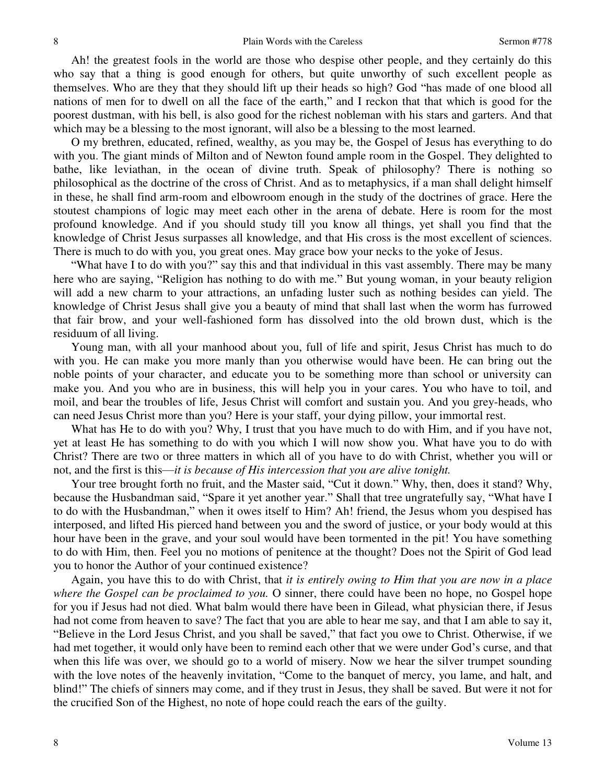Ah! the greatest fools in the world are those who despise other people, and they certainly do this who say that a thing is good enough for others, but quite unworthy of such excellent people as themselves. Who are they that they should lift up their heads so high? God "has made of one blood all nations of men for to dwell on all the face of the earth," and I reckon that that which is good for the poorest dustman, with his bell, is also good for the richest nobleman with his stars and garters. And that which may be a blessing to the most ignorant, will also be a blessing to the most learned.

 O my brethren, educated, refined, wealthy, as you may be, the Gospel of Jesus has everything to do with you. The giant minds of Milton and of Newton found ample room in the Gospel. They delighted to bathe, like leviathan, in the ocean of divine truth. Speak of philosophy? There is nothing so philosophical as the doctrine of the cross of Christ. And as to metaphysics, if a man shall delight himself in these, he shall find arm-room and elbowroom enough in the study of the doctrines of grace. Here the stoutest champions of logic may meet each other in the arena of debate. Here is room for the most profound knowledge. And if you should study till you know all things, yet shall you find that the knowledge of Christ Jesus surpasses all knowledge, and that His cross is the most excellent of sciences. There is much to do with you, you great ones. May grace bow your necks to the yoke of Jesus.

"What have I to do with you?" say this and that individual in this vast assembly. There may be many here who are saying, "Religion has nothing to do with me." But young woman, in your beauty religion will add a new charm to your attractions, an unfading luster such as nothing besides can yield. The knowledge of Christ Jesus shall give you a beauty of mind that shall last when the worm has furrowed that fair brow, and your well-fashioned form has dissolved into the old brown dust, which is the residuum of all living.

 Young man, with all your manhood about you, full of life and spirit, Jesus Christ has much to do with you. He can make you more manly than you otherwise would have been. He can bring out the noble points of your character, and educate you to be something more than school or university can make you. And you who are in business, this will help you in your cares. You who have to toil, and moil, and bear the troubles of life, Jesus Christ will comfort and sustain you. And you grey-heads, who can need Jesus Christ more than you? Here is your staff, your dying pillow, your immortal rest.

 What has He to do with you? Why, I trust that you have much to do with Him, and if you have not, yet at least He has something to do with you which I will now show you. What have you to do with Christ? There are two or three matters in which all of you have to do with Christ, whether you will or not, and the first is this—*it is because of His intercession that you are alive tonight.*

 Your tree brought forth no fruit, and the Master said, "Cut it down." Why, then, does it stand? Why, because the Husbandman said, "Spare it yet another year." Shall that tree ungratefully say, "What have I to do with the Husbandman," when it owes itself to Him? Ah! friend, the Jesus whom you despised has interposed, and lifted His pierced hand between you and the sword of justice, or your body would at this hour have been in the grave, and your soul would have been tormented in the pit! You have something to do with Him, then. Feel you no motions of penitence at the thought? Does not the Spirit of God lead you to honor the Author of your continued existence?

 Again, you have this to do with Christ, that *it is entirely owing to Him that you are now in a place where the Gospel can be proclaimed to you.* O sinner, there could have been no hope, no Gospel hope for you if Jesus had not died. What balm would there have been in Gilead, what physician there, if Jesus had not come from heaven to save? The fact that you are able to hear me say, and that I am able to say it, "Believe in the Lord Jesus Christ, and you shall be saved," that fact you owe to Christ. Otherwise, if we had met together, it would only have been to remind each other that we were under God's curse, and that when this life was over, we should go to a world of misery. Now we hear the silver trumpet sounding with the love notes of the heavenly invitation, "Come to the banquet of mercy, you lame, and halt, and blind!" The chiefs of sinners may come, and if they trust in Jesus, they shall be saved. But were it not for the crucified Son of the Highest, no note of hope could reach the ears of the guilty.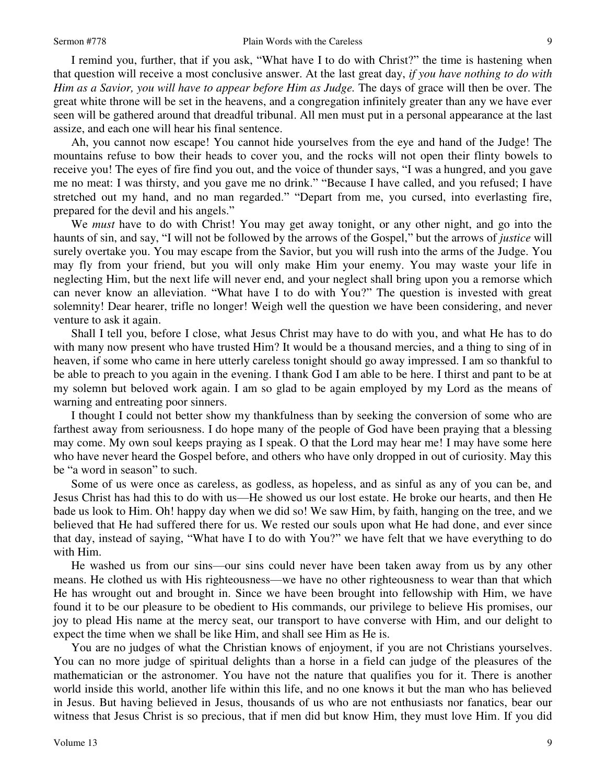I remind you, further, that if you ask, "What have I to do with Christ?" the time is hastening when that question will receive a most conclusive answer. At the last great day, *if you have nothing to do with Him as a Savior, you will have to appear before Him as Judge.* The days of grace will then be over. The great white throne will be set in the heavens, and a congregation infinitely greater than any we have ever seen will be gathered around that dreadful tribunal. All men must put in a personal appearance at the last assize, and each one will hear his final sentence.

Ah, you cannot now escape! You cannot hide yourselves from the eye and hand of the Judge! The mountains refuse to bow their heads to cover you, and the rocks will not open their flinty bowels to receive you! The eyes of fire find you out, and the voice of thunder says, "I was a hungred, and you gave me no meat: I was thirsty, and you gave me no drink." "Because I have called, and you refused; I have stretched out my hand, and no man regarded." "Depart from me, you cursed, into everlasting fire, prepared for the devil and his angels."

 We *must* have to do with Christ! You may get away tonight, or any other night, and go into the haunts of sin, and say, "I will not be followed by the arrows of the Gospel," but the arrows of *justice* will surely overtake you. You may escape from the Savior, but you will rush into the arms of the Judge. You may fly from your friend, but you will only make Him your enemy. You may waste your life in neglecting Him, but the next life will never end, and your neglect shall bring upon you a remorse which can never know an alleviation. "What have I to do with You?" The question is invested with great solemnity! Dear hearer, trifle no longer! Weigh well the question we have been considering, and never venture to ask it again.

 Shall I tell you, before I close, what Jesus Christ may have to do with you, and what He has to do with many now present who have trusted Him? It would be a thousand mercies, and a thing to sing of in heaven, if some who came in here utterly careless tonight should go away impressed. I am so thankful to be able to preach to you again in the evening. I thank God I am able to be here. I thirst and pant to be at my solemn but beloved work again. I am so glad to be again employed by my Lord as the means of warning and entreating poor sinners.

 I thought I could not better show my thankfulness than by seeking the conversion of some who are farthest away from seriousness. I do hope many of the people of God have been praying that a blessing may come. My own soul keeps praying as I speak. O that the Lord may hear me! I may have some here who have never heard the Gospel before, and others who have only dropped in out of curiosity. May this be "a word in season" to such.

 Some of us were once as careless, as godless, as hopeless, and as sinful as any of you can be, and Jesus Christ has had this to do with us—He showed us our lost estate. He broke our hearts, and then He bade us look to Him. Oh! happy day when we did so! We saw Him, by faith, hanging on the tree, and we believed that He had suffered there for us. We rested our souls upon what He had done, and ever since that day, instead of saying, "What have I to do with You?" we have felt that we have everything to do with Him.

 He washed us from our sins—our sins could never have been taken away from us by any other means. He clothed us with His righteousness—we have no other righteousness to wear than that which He has wrought out and brought in. Since we have been brought into fellowship with Him, we have found it to be our pleasure to be obedient to His commands, our privilege to believe His promises, our joy to plead His name at the mercy seat, our transport to have converse with Him, and our delight to expect the time when we shall be like Him, and shall see Him as He is.

 You are no judges of what the Christian knows of enjoyment, if you are not Christians yourselves. You can no more judge of spiritual delights than a horse in a field can judge of the pleasures of the mathematician or the astronomer. You have not the nature that qualifies you for it. There is another world inside this world, another life within this life, and no one knows it but the man who has believed in Jesus. But having believed in Jesus, thousands of us who are not enthusiasts nor fanatics, bear our witness that Jesus Christ is so precious, that if men did but know Him, they must love Him. If you did